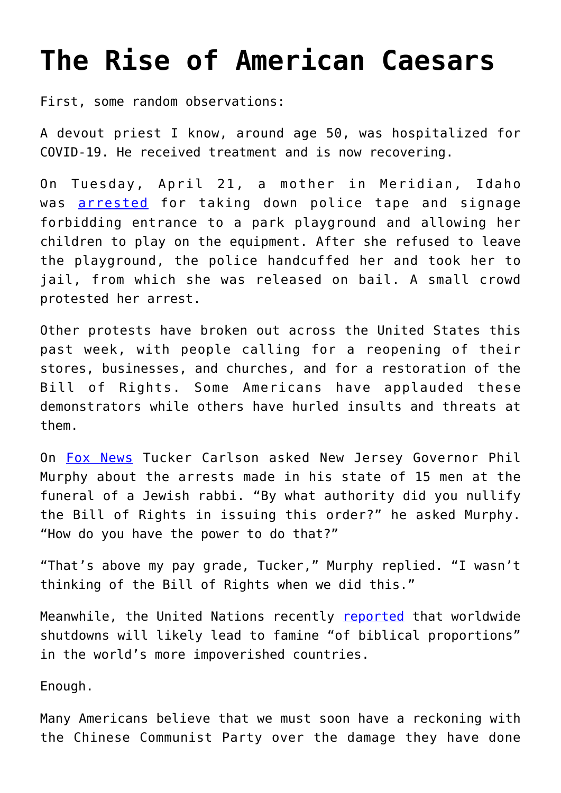## **[The Rise of American Caesars](https://intellectualtakeout.org/2020/04/the-rise-of-american-caesars/)**

First, some random observations:

A devout priest I know, around age 50, was hospitalized for COVID-19. He received treatment and is now recovering.

On Tuesday, April 21, a mother in Meridian, Idaho was [arrested](https://idahonews.com/news/local/protest-starts-after-meridian-woman-arrested-accused-of-violating-city-order) for taking down police tape and signage forbidding entrance to a park playground and allowing her children to play on the equipment. After she refused to leave the playground, the police handcuffed her and took her to jail, from which she was released on bail. A small crowd protested her arrest.

Other protests have broken out across the United States this past week, with people calling for a reopening of their stores, businesses, and churches, and for a restoration of the Bill of Rights. Some Americans have applauded these demonstrators while others have hurled insults and threats at them.

On [Fox News](https://www.realclearpolitics.com/video/2020/04/16/nj_gov_phil_murphy_vs_tucker_carlson_by_what_authority_did_you_nullify_the_bill_of_rights_in_issuing_this_quarantine_order.html) Tucker Carlson asked New Jersey Governor Phil Murphy about the arrests made in his state of 15 men at the funeral of a Jewish rabbi. "By what authority did you nullify the Bill of Rights in issuing this order?" he asked Murphy. "How do you have the power to do that?"

"That's above my pay grade, Tucker," Murphy replied. "I wasn't thinking of the Bill of Rights when we did this."

Meanwhile, the United Nations recently [reported](https://www.dailymail.co.uk/news/article-8239619/UN-warns-biblical-famines-coronavirus-threatens-leave-three-dozen-nations-starving.html) that worldwide shutdowns will likely lead to famine "of biblical proportions" in the world's more impoverished countries.

Enough.

Many Americans believe that we must soon have a reckoning with the Chinese Communist Party over the damage they have done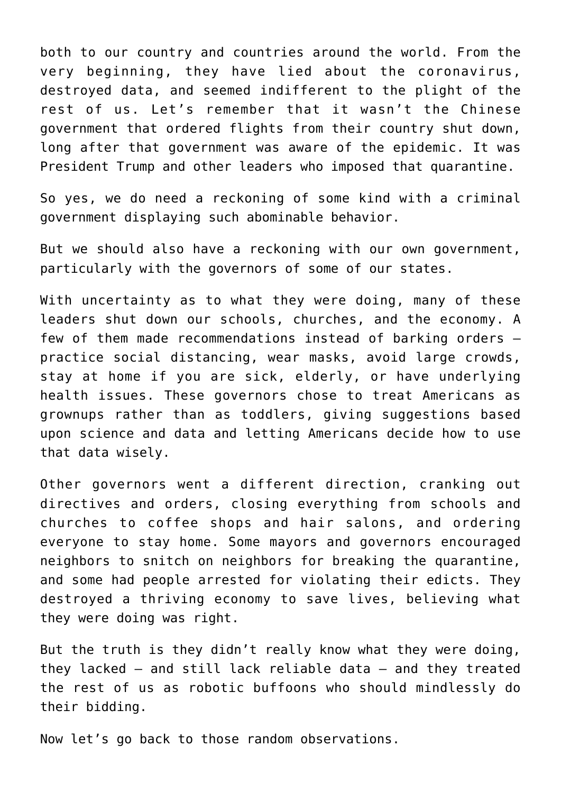both to our country and countries around the world. From the very beginning, they have lied about the coronavirus, destroyed data, and seemed indifferent to the plight of the rest of us. Let's remember that it wasn't the Chinese government that ordered flights from their country shut down, long after that government was aware of the epidemic. It was President Trump and other leaders who imposed that quarantine.

So yes, we do need a reckoning of some kind with a criminal government displaying such abominable behavior.

But we should also have a reckoning with our own government, particularly with the governors of some of our states.

With uncertainty as to what they were doing, many of these leaders shut down our schools, churches, and the economy. A few of them made recommendations instead of barking orders – practice social distancing, wear masks, avoid large crowds, stay at home if you are sick, elderly, or have underlying health issues. These governors chose to treat Americans as grownups rather than as toddlers, giving suggestions based upon science and data and letting Americans decide how to use that data wisely.

Other governors went a different direction, cranking out directives and orders, closing everything from schools and churches to coffee shops and hair salons, and ordering everyone to stay home. Some mayors and governors encouraged neighbors to snitch on neighbors for breaking the quarantine, and some had people arrested for violating their edicts. They destroyed a thriving economy to save lives, believing what they were doing was right.

But the truth is they didn't really know what they were doing, they lacked – and still lack reliable data – and they treated the rest of us as robotic buffoons who should mindlessly do their bidding.

Now let's go back to those random observations.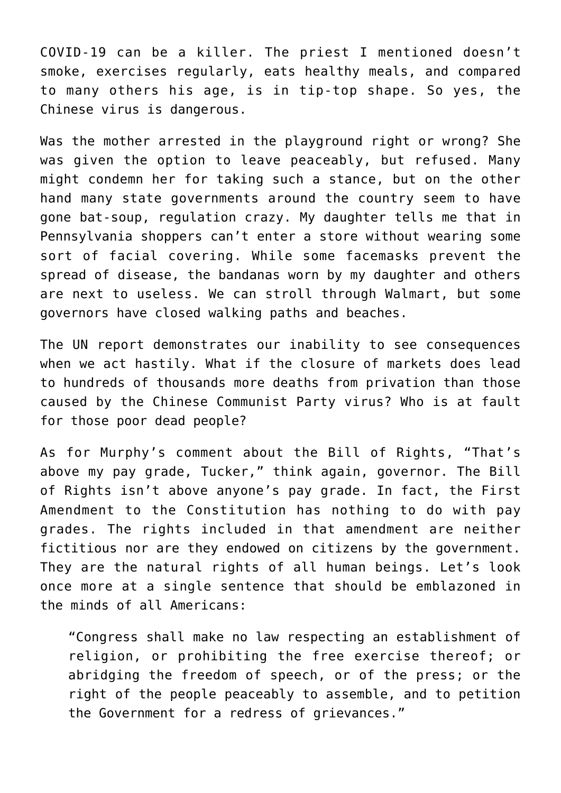COVID-19 can be a killer. The priest I mentioned doesn't smoke, exercises regularly, eats healthy meals, and compared to many others his age, is in tip-top shape. So yes, the Chinese virus is dangerous.

Was the mother arrested in the playground right or wrong? She was given the option to leave peaceably, but refused. Many might condemn her for taking such a stance, but on the other hand many state governments around the country seem to have gone bat-soup, regulation crazy. My daughter tells me that in Pennsylvania shoppers can't enter a store without wearing some sort of facial covering. While some facemasks prevent the spread of disease, the bandanas worn by my daughter and others are next to useless. We can stroll through Walmart, but some governors have closed walking paths and beaches.

The UN report demonstrates our inability to see consequences when we act hastily. What if the closure of markets does lead to hundreds of thousands more deaths from privation than those caused by the Chinese Communist Party virus? Who is at fault for those poor dead people?

As for Murphy's comment about the Bill of Rights, "That's above my pay grade, Tucker," think again, governor. The Bill of Rights isn't above anyone's pay grade. In fact, the First Amendment to the Constitution has nothing to do with pay grades. The rights included in that amendment are neither fictitious nor are they endowed on citizens by the government. They are the natural rights of all human beings. Let's look once more at a single sentence that should be emblazoned in the minds of all Americans:

"Congress shall make no law respecting an establishment of religion, or prohibiting the free exercise thereof; or abridging the freedom of speech, or of the press; or the right of the people peaceably to assemble, and to petition the Government for a redress of grievances."